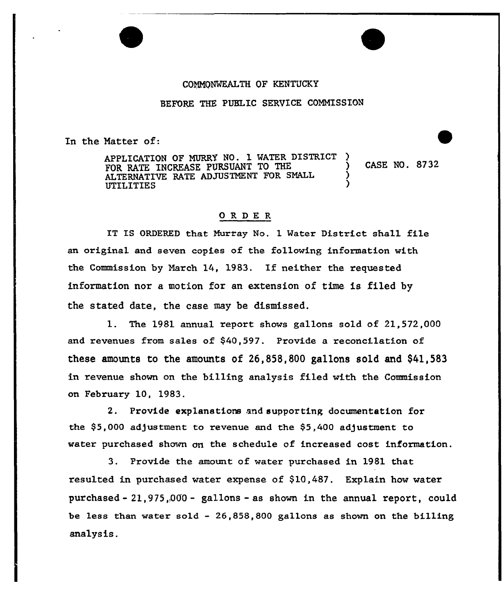## COMMONWEALTH OF KENTUCKY

BEFORE THE PUBLIC SERVICE COMMISSION

En the Matter of:

APPLICATION OF MURRY NO. 1 WATER DISTRICT FOR RATE INCREASE PURSUANT TO THE  $\qquad$  ) CASE NO. 8732 ALTERNATIVE RATE ADJUSTMENT FOR SMALL ) UTII ITIES )

## ORDER

IT IS ORDERED that Murray No. 1 Water District shall file an original and seven copies of the following information with the Commission by March 14, 1983. If neither the requested information nor a motion for an extension of time is filed by the stated date, the ease may be dismissed.

1. The 1981 annual report shows gallons sold of 21,572,000 and revenues from sales of \$40,597. Provide a reconcilation of these amounts to the amounts of 26,858,800 gallons sold and \$41,583 in revenue shown on the billing analysis filed with the Commission on February 10, 1983.

2. Provide explanations and supporting documentation for the  $$5,000$  adjustment to revenue and the  $$5,400$  adjustment to water purchased shown on the schedule of increased cost information.

3. Provide the amount of watex purchased in 1981 that resulted in purchased water expense of  $$10,487$ . Explain how water purchased- 21,975,,060- gallons —as shown in the annual report, could be less than water sold — 26,858,800 gallons as shown on the billing analysis.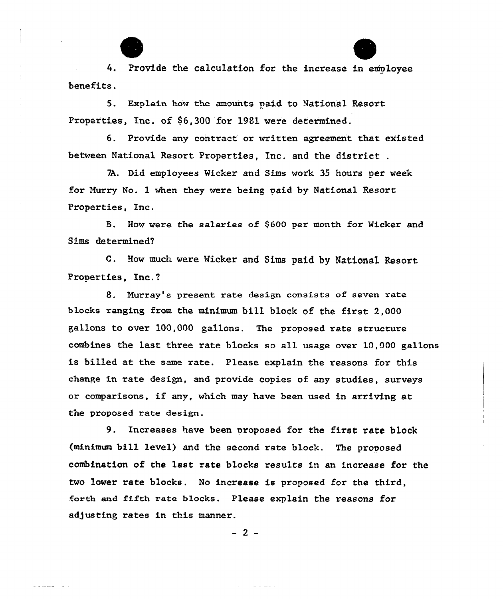4. Provide the calculation for the increase in emoloyee benefits.

5. Explain how the amounts paid to National Resort Properties, Inc. of \$6,300 for 1981 were determined.

6. Provide any contract or written agreement that existed between National Resoxt, Properties, Inc, and the district .

7A. Did employees Wicker and Sims work 35 hours per week for Hurry No. 1 when they were being paid by National Resort Properties, Inc.

B. How were the salaries of \$600 per month for Wicker and Sims determined7

C. How much were Nicker and Sims paid by National Resort Pxoperties, Inc.f

8. Murray's present rate design consists of seven rate blocks ranging from the minimum bill block of the first 2,000 gallons to over 100,000 gallons. The proposed rate structure combines the last three rate blocks so all usage over 10,000 ga11ons is billed at the same rate. Please explain the reasons for this change in rate design, and provide copies of any studies, surveys or comparisons, if any, which may have been used in arriving at the pxoposed rate design.

9. Increases have been proposed for the first rate block (minimum bill level) and the second rate block. The pxoposed combination of the last rate blocks results in an increase for the two lower rate blocks. No increase is proposed for the third, forth and fifth rate blocks. Please explain the reasons for adjusting rates in this manner.

 $-2-$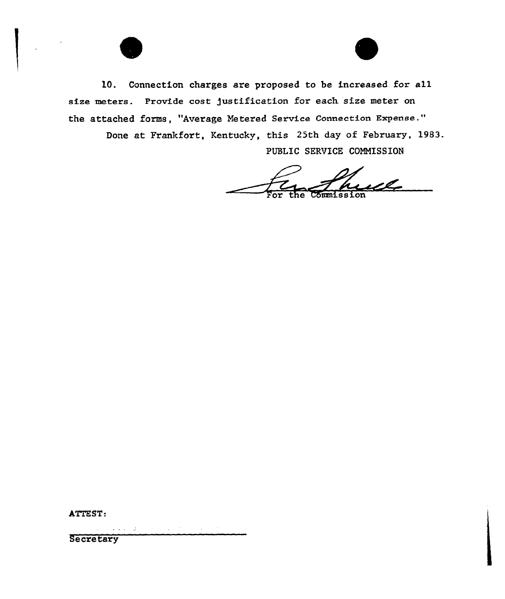

Done at Frankfort, Kentucky, this 25th day of February, 1983. PUBLIC SERVICE COMMISSION

For the Commission

ATTEST:

 $\mathcal{L}^{\mathcal{A}}(\mathcal{A})$  and  $\mathcal{A}^{\mathcal{A}}(\mathcal{A})$  $\sim 10^{11}$  eV  $^{-1}$ **Secretary**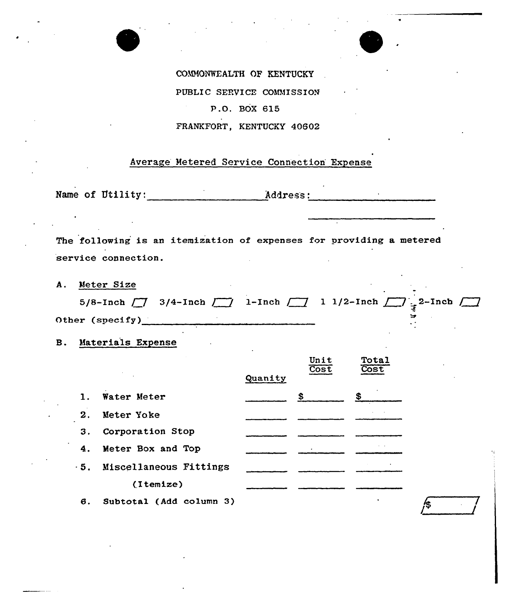



 $\sim$ 

COMMONWEALTH OF KENTUCKY PUBLIC SEPVICE COMMISSION P.O. BOX 615 FRANKFORT, KENTUCKY 40602

## Average Metered Service Connection Expense

Name of Utility: Address:

The following is an itemization of expenses for providing a metered service connection.

| A. Meter Size   |                                                                                                        |  |  |  |  |
|-----------------|--------------------------------------------------------------------------------------------------------|--|--|--|--|
|                 | 5/8-Inch $\boxed{7}$ 3/4-Inch $\boxed{7}$ 1-Inch $\boxed{7}$ 1 1/2-Inch $\boxed{7}$ 2-Inch $\boxed{7}$ |  |  |  |  |
| Other (specify) |                                                                                                        |  |  |  |  |

B. Materials Expense

|                |                                   |         | Unit<br>Cost | Total<br>Cost |  |
|----------------|-----------------------------------|---------|--------------|---------------|--|
|                | $\sim 2000$                       | Quanity |              |               |  |
| $\mathbf{1}$ . | Water Meter                       |         | \$           | SS.           |  |
| 2.             | Meter Yoke                        |         |              |               |  |
| 3.             | Corporation Stop                  |         |              |               |  |
| 4.             | Meter Box and Top                 |         |              |               |  |
|                | $\cdot$ 5. Miscellaneous Fittings |         |              |               |  |
|                | (Itemize)                         |         |              |               |  |
| в.             | Subtotal (Add column 3)           |         |              |               |  |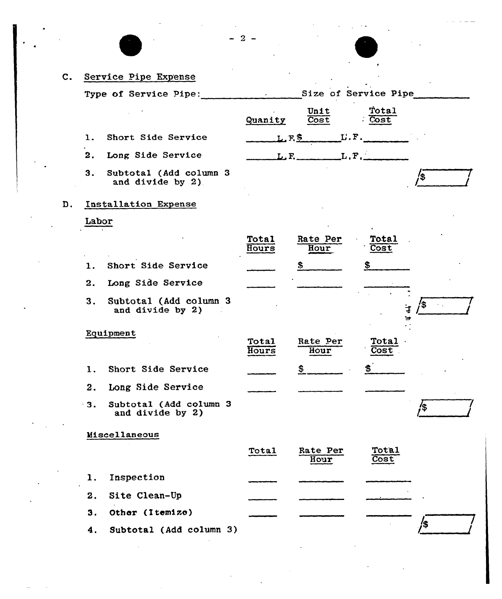| $\mathbf{c}$ . |       | Service Pipe Expense                       |                |                             |                      |               |
|----------------|-------|--------------------------------------------|----------------|-----------------------------|----------------------|---------------|
|                |       | Type of Service Pipe:                      | $\epsilon$     |                             | Size of Service Pipe |               |
|                |       |                                            | Quanity        | Unit<br>Cost                | Total<br>Cost        |               |
|                | 1.    | Short Side Service                         |                | $L.F.S$ $L.F.$              |                      |               |
|                | 2.    | Long Side Service                          |                | $L$ , $F$ , $L$ , $F$ , $L$ |                      |               |
|                | 3.    | Subtotal (Add column 3<br>and divide by 2) |                |                             |                      |               |
| D.             |       | Installation Expense                       |                |                             |                      |               |
|                | Labor |                                            |                |                             |                      |               |
|                |       |                                            | Total<br>Hours | Rate Per<br>Hour            | Total<br>Cost        |               |
|                | 1.    | Short Side Service                         |                | æ,                          |                      |               |
|                | 2.    | Long Side Service                          |                |                             |                      |               |
|                | 3.    | Subtotal (Add column 3<br>and divide by 2) |                |                             |                      | ΄\$<br>¥<br>₩ |
|                |       | Equipment                                  | Total<br>Hours | Rate Per<br>Hour            | Total<br>Cost        |               |
|                | ı.    | Short Side Service                         |                | ⋗                           |                      |               |
|                | 2.    | Long Side Service                          |                |                             |                      |               |
|                | 3.    | Subtotal (Add column 3<br>and divide by 2) |                |                             |                      | /\$<br>'      |
|                |       | Miscellaneous                              |                |                             |                      |               |
|                |       |                                            | <b>Total</b>   | Rate Per<br>Hour            | Total<br>Cost        |               |
|                | 1.    | Inspection                                 |                |                             |                      |               |
|                | 2.    | Site Clean-Up                              |                |                             |                      |               |
|                | 3.    | Other (Itemize)                            |                |                             |                      |               |
|                | 4.    | Subtotal (Add column 3)                    |                |                             |                      |               |
|                |       |                                            |                |                             |                      |               |